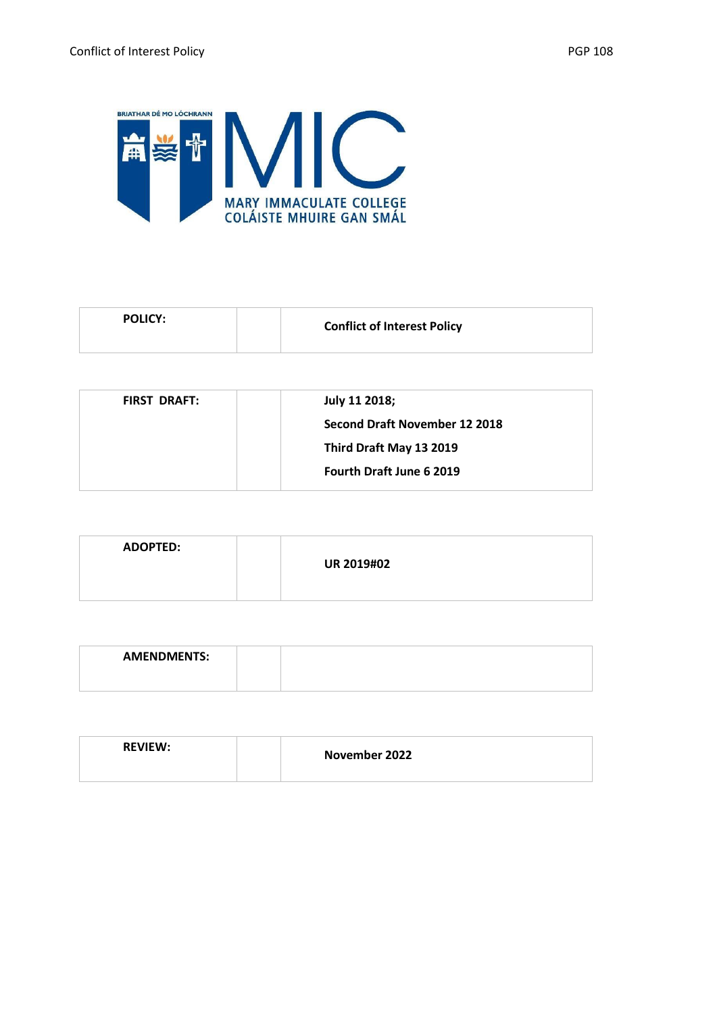

| <b>POLICY:</b><br><b>Conflict of Interest Policy</b> |  |
|------------------------------------------------------|--|
|------------------------------------------------------|--|

| <b>FIRST DRAFT:</b> | July 11 2018;                   |
|---------------------|---------------------------------|
|                     | Second Draft November 12 2018   |
|                     | Third Draft May 13 2019         |
|                     | <b>Fourth Draft June 6 2019</b> |
|                     |                                 |

| <b>ADOPTED:</b> | <b>UR 2019#02</b> |
|-----------------|-------------------|
|                 |                   |

| <b>AMENDMENTS:</b> |  |  |  |  |  |  |
|--------------------|--|--|--|--|--|--|
|                    |  |  |  |  |  |  |

| <b>REVIEW:</b> | November 2022 |  |
|----------------|---------------|--|
|                |               |  |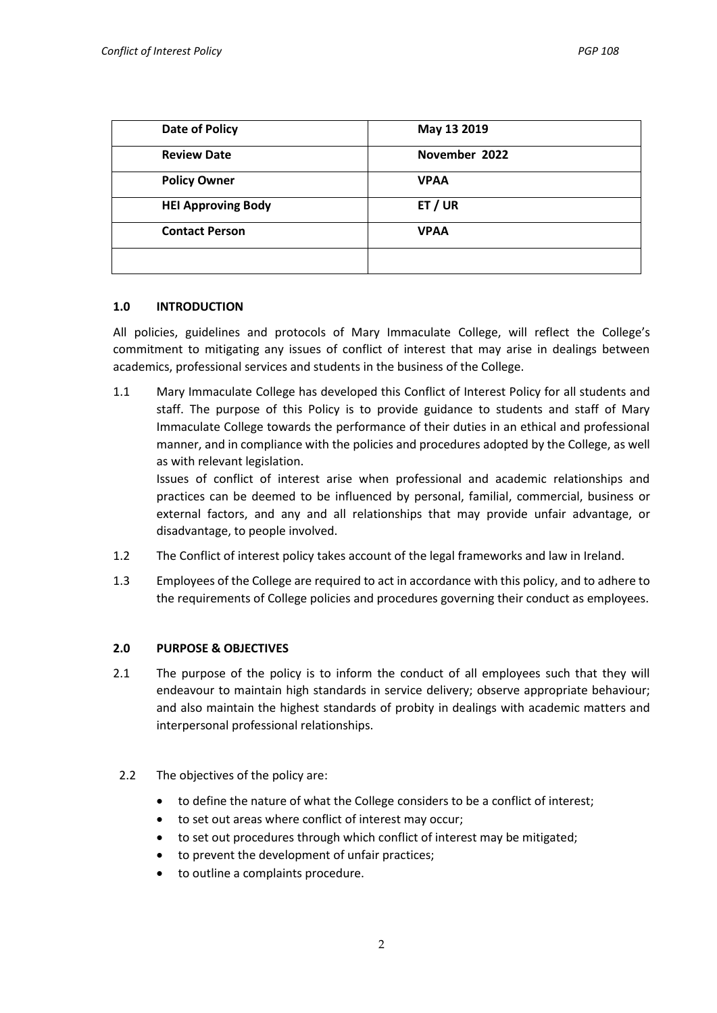| <b>Date of Policy</b>     | May 13 2019   |
|---------------------------|---------------|
| <b>Review Date</b>        | November 2022 |
| <b>Policy Owner</b>       | <b>VPAA</b>   |
| <b>HEI Approving Body</b> | ET / UR       |
| <b>Contact Person</b>     | <b>VPAA</b>   |
|                           |               |

#### **1.0 INTRODUCTION**

All policies, guidelines and protocols of Mary Immaculate College, will reflect the College's commitment to mitigating any issues of conflict of interest that may arise in dealings between academics, professional services and students in the business of the College.

1.1 Mary Immaculate College has developed this Conflict of Interest Policy for all students and staff. The purpose of this Policy is to provide guidance to students and staff of Mary Immaculate College towards the performance of their duties in an ethical and professional manner, and in compliance with the policies and procedures adopted by the College, as well as with relevant legislation.

Issues of conflict of interest arise when professional and academic relationships and practices can be deemed to be influenced by personal, familial, commercial, business or external factors, and any and all relationships that may provide unfair advantage, or disadvantage, to people involved.

- 1.2 The Conflict of interest policy takes account of the legal frameworks and law in Ireland.
- 1.3 Employees of the College are required to act in accordance with this policy, and to adhere to the requirements of College policies and procedures governing their conduct as employees.

### **2.0 PURPOSE & OBJECTIVES**

- 2.1 The purpose of the policy is to inform the conduct of all employees such that they will endeavour to maintain high standards in service delivery; observe appropriate behaviour; and also maintain the highest standards of probity in dealings with academic matters and interpersonal professional relationships.
- 2.2 The objectives of the policy are:
	- to define the nature of what the College considers to be a conflict of interest;
	- to set out areas where conflict of interest may occur;
	- to set out procedures through which conflict of interest may be mitigated;
	- to prevent the development of unfair practices;
	- to outline a complaints procedure.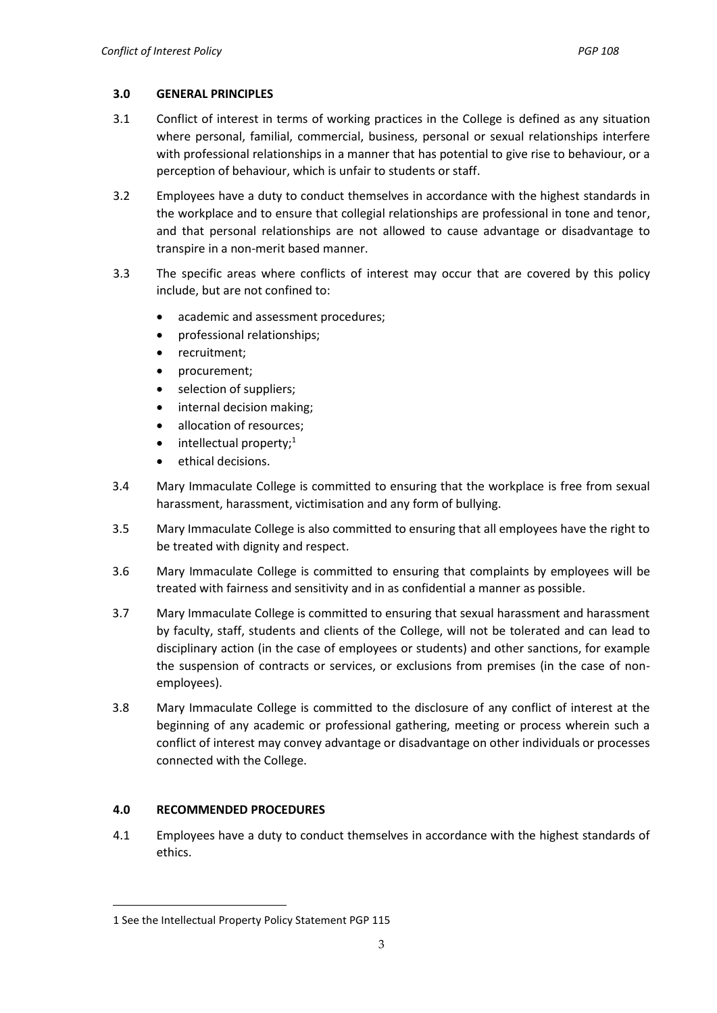## **3.0 GENERAL PRINCIPLES**

- 3.1 Conflict of interest in terms of working practices in the College is defined as any situation where personal, familial, commercial, business, personal or sexual relationships interfere with professional relationships in a manner that has potential to give rise to behaviour, or a perception of behaviour, which is unfair to students or staff.
- 3.2 Employees have a duty to conduct themselves in accordance with the highest standards in the workplace and to ensure that collegial relationships are professional in tone and tenor, and that personal relationships are not allowed to cause advantage or disadvantage to transpire in a non-merit based manner.
- 3.3 The specific areas where conflicts of interest may occur that are covered by this policy include, but are not confined to:
	- academic and assessment procedures;
	- professional relationships;
	- recruitment;
	- procurement;
	- selection of suppliers;
	- internal decision making;
	- allocation of resources;
	- intellectual property;<sup>1</sup>
	- ethical decisions.
- 3.4 Mary Immaculate College is committed to ensuring that the workplace is free from sexual harassment, harassment, victimisation and any form of bullying.
- 3.5 Mary Immaculate College is also committed to ensuring that all employees have the right to be treated with dignity and respect.
- 3.6 Mary Immaculate College is committed to ensuring that complaints by employees will be treated with fairness and sensitivity and in as confidential a manner as possible.
- 3.7 Mary Immaculate College is committed to ensuring that sexual harassment and harassment by faculty, staff, students and clients of the College, will not be tolerated and can lead to disciplinary action (in the case of employees or students) and other sanctions, for example the suspension of contracts or services, or exclusions from premises (in the case of nonemployees).
- 3.8 Mary Immaculate College is committed to the disclosure of any conflict of interest at the beginning of any academic or professional gathering, meeting or process wherein such a conflict of interest may convey advantage or disadvantage on other individuals or processes connected with the College.

# **4.0 RECOMMENDED PROCEDURES**

 $\overline{a}$ 

4.1 Employees have a duty to conduct themselves in accordance with the highest standards of ethics.

<sup>1</sup> See the Intellectual Property Policy Statement PGP 115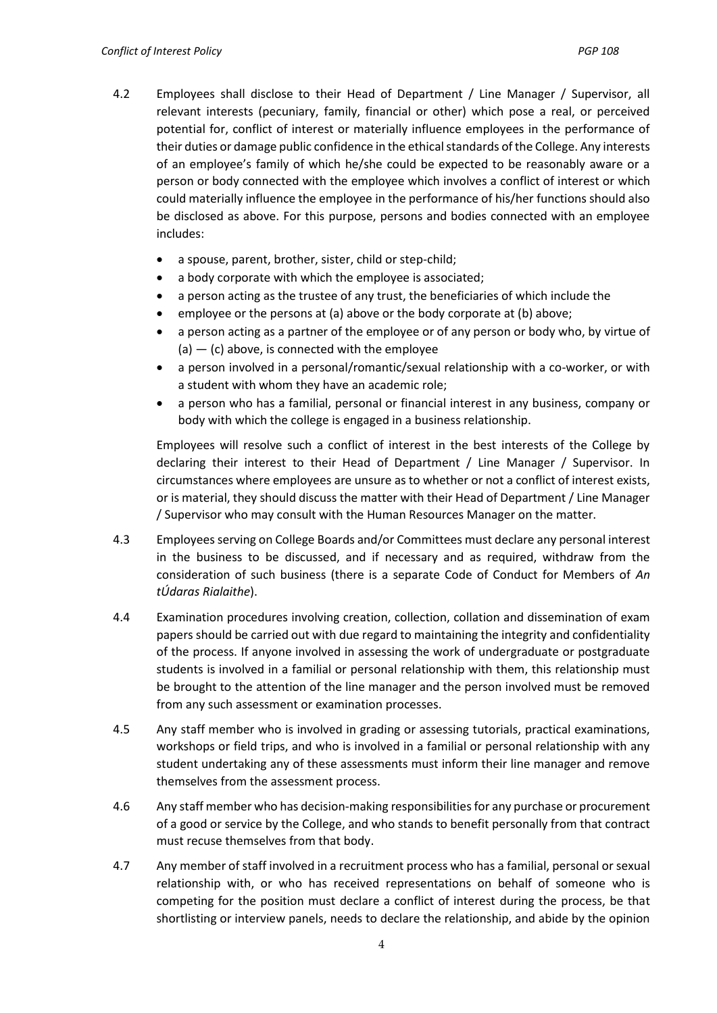- 4.2 Employees shall disclose to their Head of Department / Line Manager / Supervisor, all relevant interests (pecuniary, family, financial or other) which pose a real, or perceived potential for, conflict of interest or materially influence employees in the performance of their duties or damage public confidence in the ethical standards of the College. Any interests of an employee's family of which he/she could be expected to be reasonably aware or a person or body connected with the employee which involves a conflict of interest or which could materially influence the employee in the performance of his/her functions should also be disclosed as above. For this purpose, persons and bodies connected with an employee includes:
	- a spouse, parent, brother, sister, child or step-child;
	- a body corporate with which the employee is associated;
	- a person acting as the trustee of any trust, the beneficiaries of which include the
	- employee or the persons at (a) above or the body corporate at (b) above;
	- a person acting as a partner of the employee or of any person or body who, by virtue of  $(a) - (c)$  above, is connected with the employee
	- a person involved in a personal/romantic/sexual relationship with a co-worker, or with a student with whom they have an academic role;
	- a person who has a familial, personal or financial interest in any business, company or body with which the college is engaged in a business relationship.

Employees will resolve such a conflict of interest in the best interests of the College by declaring their interest to their Head of Department / Line Manager / Supervisor. In circumstances where employees are unsure as to whether or not a conflict of interest exists, or is material, they should discuss the matter with their Head of Department / Line Manager / Supervisor who may consult with the Human Resources Manager on the matter.

- 4.3 Employees serving on College Boards and/or Committees must declare any personal interest in the business to be discussed, and if necessary and as required, withdraw from the consideration of such business (there is a separate Code of Conduct for Members of *An tÚdaras Rialaithe*).
- 4.4 Examination procedures involving creation, collection, collation and dissemination of exam papers should be carried out with due regard to maintaining the integrity and confidentiality of the process. If anyone involved in assessing the work of undergraduate or postgraduate students is involved in a familial or personal relationship with them, this relationship must be brought to the attention of the line manager and the person involved must be removed from any such assessment or examination processes.
- 4.5 Any staff member who is involved in grading or assessing tutorials, practical examinations, workshops or field trips, and who is involved in a familial or personal relationship with any student undertaking any of these assessments must inform their line manager and remove themselves from the assessment process.
- 4.6 Any staff member who has decision-making responsibilities for any purchase or procurement of a good or service by the College, and who stands to benefit personally from that contract must recuse themselves from that body.
- 4.7 Any member of staff involved in a recruitment process who has a familial, personal or sexual relationship with, or who has received representations on behalf of someone who is competing for the position must declare a conflict of interest during the process, be that shortlisting or interview panels, needs to declare the relationship, and abide by the opinion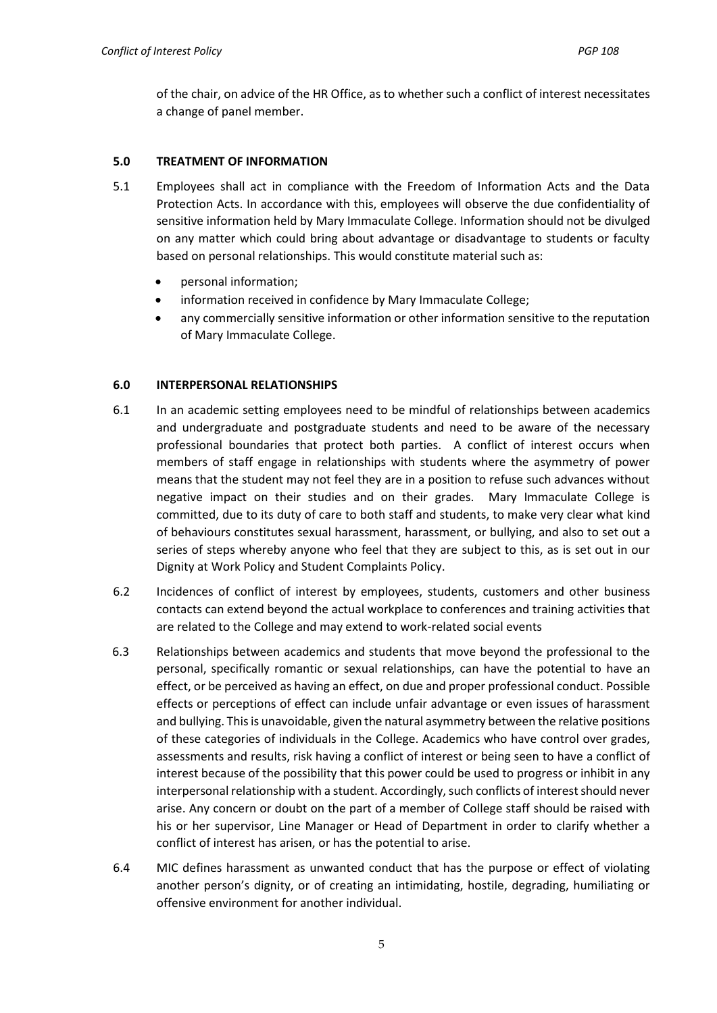of the chair, on advice of the HR Office, as to whether such a conflict of interest necessitates a change of panel member.

## **5.0 TREATMENT OF INFORMATION**

- 5.1 Employees shall act in compliance with the Freedom of Information Acts and the Data Protection Acts. In accordance with this, employees will observe the due confidentiality of sensitive information held by Mary Immaculate College. Information should not be divulged on any matter which could bring about advantage or disadvantage to students or faculty based on personal relationships. This would constitute material such as:
	- personal information;
	- information received in confidence by Mary Immaculate College;
	- any commercially sensitive information or other information sensitive to the reputation of Mary Immaculate College.

### **6.0 INTERPERSONAL RELATIONSHIPS**

- 6.1 In an academic setting employees need to be mindful of relationships between academics and undergraduate and postgraduate students and need to be aware of the necessary professional boundaries that protect both parties. A conflict of interest occurs when members of staff engage in relationships with students where the asymmetry of power means that the student may not feel they are in a position to refuse such advances without negative impact on their studies and on their grades. Mary Immaculate College is committed, due to its duty of care to both staff and students, to make very clear what kind of behaviours constitutes sexual harassment, harassment, or bullying, and also to set out a series of steps whereby anyone who feel that they are subject to this, as is set out in our Dignity at Work Policy and Student Complaints Policy.
- 6.2 Incidences of conflict of interest by employees, students, customers and other business contacts can extend beyond the actual workplace to conferences and training activities that are related to the College and may extend to work-related social events
- 6.3 Relationships between academics and students that move beyond the professional to the personal, specifically romantic or sexual relationships, can have the potential to have an effect, or be perceived as having an effect, on due and proper professional conduct. Possible effects or perceptions of effect can include unfair advantage or even issues of harassment and bullying. This is unavoidable, given the natural asymmetry between the relative positions of these categories of individuals in the College. Academics who have control over grades, assessments and results, risk having a conflict of interest or being seen to have a conflict of interest because of the possibility that this power could be used to progress or inhibit in any interpersonal relationship with a student. Accordingly, such conflicts of interest should never arise. Any concern or doubt on the part of a member of College staff should be raised with his or her supervisor, Line Manager or Head of Department in order to clarify whether a conflict of interest has arisen, or has the potential to arise.
- 6.4 MIC defines harassment as unwanted conduct that has the purpose or effect of violating another person's dignity, or of creating an intimidating, hostile, degrading, humiliating or offensive environment for another individual.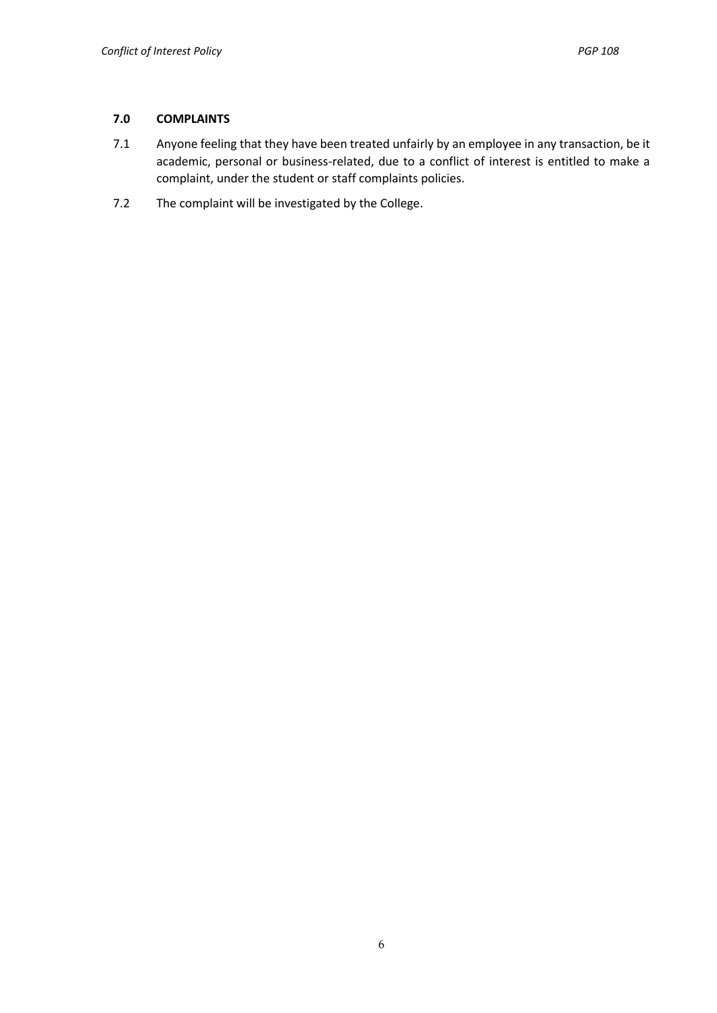## **7.0 COMPLAINTS**

- 7.1 Anyone feeling that they have been treated unfairly by an employee in any transaction, be it academic, personal or business-related, due to a conflict of interest is entitled to make a complaint, under the student or staff complaints policies.
- 7.2 The complaint will be investigated by the College.